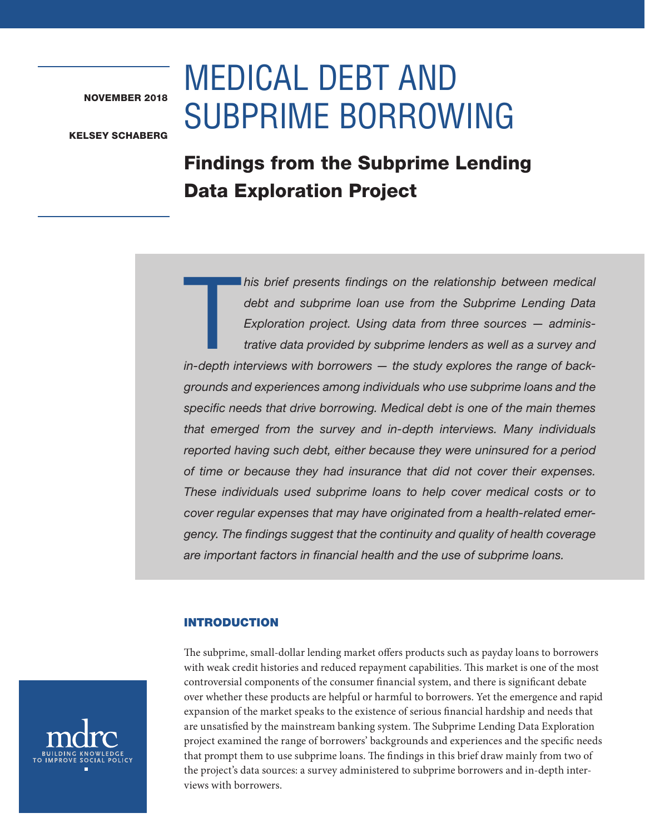NOVEMBER 2018

# MEDICAL DEBT AND SUBPRIME BORROWING

KELSEY SCHABERG

# Findings from the Subprime Lending Data Exploration Project

 $\begin{array}{c} \hline \ \hline \ \hline \ \hline \end{array}$ *his brief presents findings on the relationship between medical debt and subprime loan use from the Subprime Lending Data Exploration project. Using data from three sources — administrative data provided by subprime lenders as well as a survey and in-depth interviews with borrowers — the study explores the range of backgrounds and experiences among individuals who use subprime loans and the specific needs that drive borrowing. Medical debt is one of the main themes that emerged from the survey and in-depth interviews. Many individuals reported having such debt, either because they were uninsured for a period of time or because they had insurance that did not cover their expenses. These individuals used subprime loans to help cover medical costs or to cover regular expenses that may have originated from a health-related emergency. The findings suggest that the continuity and quality of health coverage are important factors in financial health and the use of subprime loans.*

# INTRODUCTION

The subprime, small-dollar lending market offers products such as payday loans to borrowers with weak credit histories and reduced repayment capabilities. This market is one of the most controversial components of the consumer financial system, and there is significant debate over whether these products are helpful or harmful to borrowers. Yet the emergence and rapid expansion of the market speaks to the existence of serious financial hardship and needs that are unsatisfied by the mainstream banking system. The Subprime Lending Data Exploration project examined the range of borrowers' backgrounds and experiences and the specific needs that prompt them to use subprime loans. The findings in this brief draw mainly from two of the project's data sources: a survey administered to subprime borrowers and in-depth interviews with borrowers.

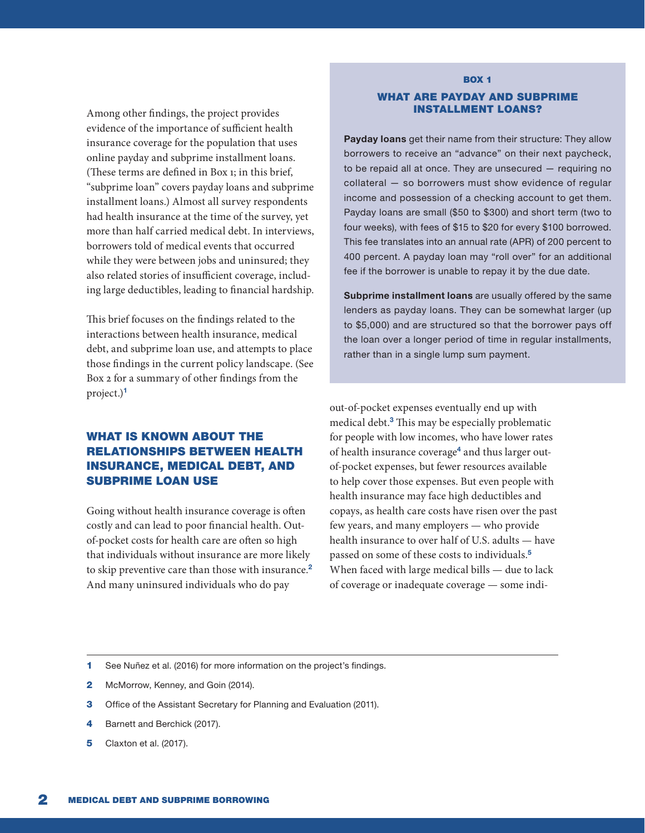Among other findings, the project provides evidence of the importance of sufficient health insurance coverage for the population that uses online payday and subprime installment loans. (These terms are defined in Box 1; in this brief, "subprime loan" covers payday loans and subprime installment loans.) Almost all survey respondents had health insurance at the time of the survey, yet more than half carried medical debt. In interviews, borrowers told of medical events that occurred while they were between jobs and uninsured; they also related stories of insufficient coverage, including large deductibles, leading to financial hardship.

This brief focuses on the findings related to the interactions between health insurance, medical debt, and subprime loan use, and attempts to place those findings in the current policy landscape. (See Box 2 for a summary of other findings from the project.)<sup>1</sup>

# WHAT IS KNOWN ABOUT THE RELATIONSHIPS BETWEEN HEALTH INSURANCE, MEDICAL DEBT, AND SUBPRIME LOAN USE

Going without health insurance coverage is often costly and can lead to poor financial health. Outof-pocket costs for health care are often so high that individuals without insurance are more likely to skip preventive care than those with insurance.<sup>2</sup> And many uninsured individuals who do pay

# **BOX 1** WHAT ARE PAYDAY AND SUBPRIME INSTALLMENT LOANS?

Payday loans get their name from their structure: They allow borrowers to receive an "advance" on their next paycheck, to be repaid all at once. They are unsecured — requiring no collateral — so borrowers must show evidence of regular income and possession of a checking account to get them. Payday loans are small (\$50 to \$300) and short term (two to four weeks), with fees of \$15 to \$20 for every \$100 borrowed. This fee translates into an annual rate (APR) of 200 percent to 400 percent. A payday loan may "roll over" for an additional fee if the borrower is unable to repay it by the due date.

Subprime installment loans are usually offered by the same lenders as payday loans. They can be somewhat larger (up to \$5,000) and are structured so that the borrower pays off the loan over a longer period of time in regular installments, rather than in a single lump sum payment.

out-of-pocket expenses eventually end up with medical debt.<sup>3</sup> This may be especially problematic for people with low incomes, who have lower rates of health insurance coverage<sup>4</sup> and thus larger outof-pocket expenses, but fewer resources available to help cover those expenses. But even people with health insurance may face high deductibles and copays, as health care costs have risen over the past few years, and many employers — who provide health insurance to over half of U.S. adults — have passed on some of these costs to individuals.<sup>5</sup> When faced with large medical bills — due to lack of coverage or inadequate coverage — some indi-

- 1 See Nuñez et al. (2016) for more information on the project's findings.
- 2 McMorrow, Kenney, and Goin (2014).
- **3** Office of the Assistant Secretary for Planning and Evaluation (2011).
- 4 Barnett and Berchick (2017).
- **5** Claxton et al. (2017).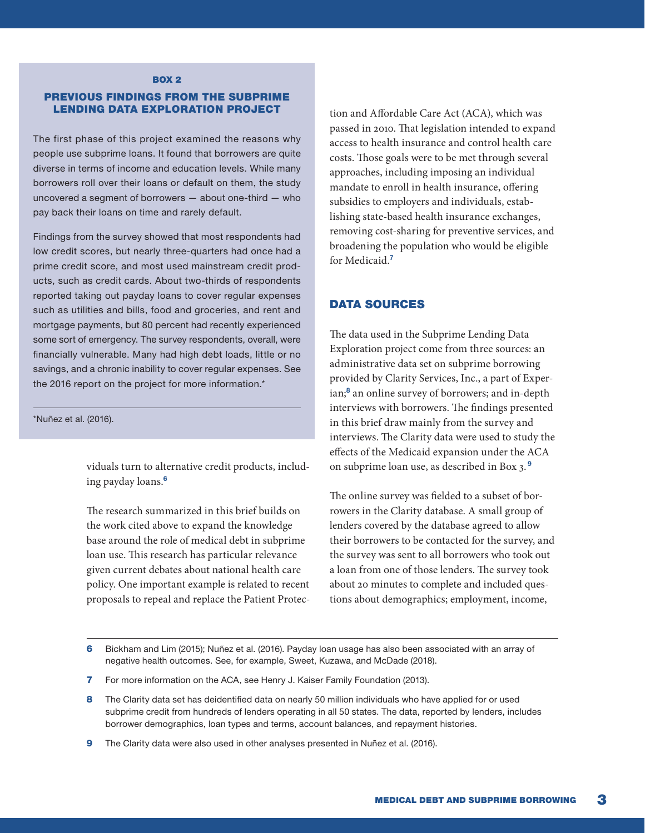#### **BOX 2**

#### PREVIOUS FINDINGS FROM THE SUBPRIME LENDING DATA EXPLORATION PROJECT

The first phase of this project examined the reasons why people use subprime loans. It found that borrowers are quite diverse in terms of income and education levels. While many borrowers roll over their loans or default on them, the study uncovered a segment of borrowers — about one-third — who pay back their loans on time and rarely default.

Findings from the survey showed that most respondents had low credit scores, but nearly three-quarters had once had a prime credit score, and most used mainstream credit products, such as credit cards. About two-thirds of respondents reported taking out payday loans to cover regular expenses such as utilities and bills, food and groceries, and rent and mortgage payments, but 80 percent had recently experienced some sort of emergency. The survey respondents, overall, were financially vulnerable. Many had high debt loads, little or no savings, and a chronic inability to cover regular expenses. See the 2016 report on the project for more information.\*

#### \*Nuñez et al. (2016).

viduals turn to alternative credit products, including payday loans.<sup>6</sup>

The research summarized in this brief builds on the work cited above to expand the knowledge base around the role of medical debt in subprime loan use. This research has particular relevance given current debates about national health care policy. One important example is related to recent proposals to repeal and replace the Patient Protection and Affordable Care Act (ACA), which was passed in 2010. That legislation intended to expand access to health insurance and control health care costs. Those goals were to be met through several approaches, including imposing an individual mandate to enroll in health insurance, offering subsidies to employers and individuals, establishing state-based health insurance exchanges, removing cost-sharing for preventive services, and broadening the population who would be eligible for Medicaid.<sup>7</sup>

### DATA SOURCES

The data used in the Subprime Lending Data Exploration project come from three sources: an administrative data set on subprime borrowing provided by Clarity Services, Inc., a part of Experian;<sup>8</sup> an online survey of borrowers; and in-depth interviews with borrowers. The findings presented in this brief draw mainly from the survey and interviews. The Clarity data were used to study the effects of the Medicaid expansion under the ACA on subprime loan use, as described in Box 3. <sup>9</sup>

The online survey was fielded to a subset of borrowers in the Clarity database. A small group of lenders covered by the database agreed to allow their borrowers to be contacted for the survey, and the survey was sent to all borrowers who took out a loan from one of those lenders. The survey took about 20 minutes to complete and included questions about demographics; employment, income,

- 6 Bickham and Lim (2015); Nuñez et al. (2016). Payday loan usage has also been associated with an array of negative health outcomes. See, for example, Sweet, Kuzawa, and McDade (2018).
- 7 For more information on the ACA, see Henry J. Kaiser Family Foundation (2013).
- 8 The Clarity data set has deidentified data on nearly 50 million individuals who have applied for or used subprime credit from hundreds of lenders operating in all 50 states. The data, reported by lenders, includes borrower demographics, loan types and terms, account balances, and repayment histories.
- 9 The Clarity data were also used in other analyses presented in Nuñez et al. (2016).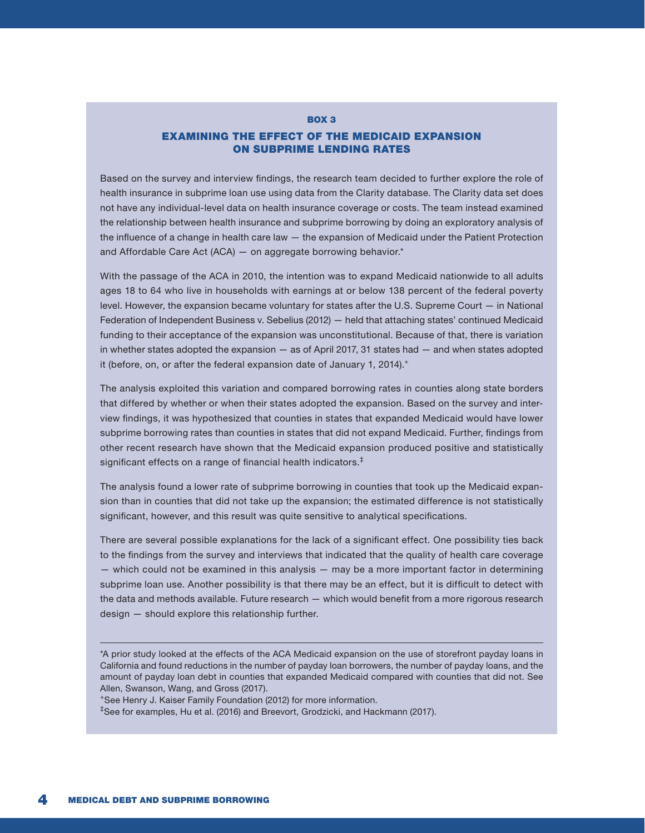#### BOX 3

#### EXAMINING THE EFFECT OF THE MEDICAID EXPANSION ON SUBPRIME LENDING RATES

Based on the survey and interview findings, the research team decided to further explore the role of health insurance in subprime loan use using data from the Clarity database. The Clarity data set does not have any individual-level data on health insurance coverage or costs. The team instead examined the relationship between health insurance and subprime borrowing by doing an exploratory analysis of the influence of a change in health care law — the expansion of Medicaid under the Patient Protection and Affordable Care Act (ACA) — on aggregate borrowing behavior.\*

With the passage of the ACA in 2010, the intention was to expand Medicaid nationwide to all adults ages 18 to 64 who live in households with earnings at or below 138 percent of the federal poverty level. However, the expansion became voluntary for states after the U.S. Supreme Court — in National Federation of Independent Business v. Sebelius (2012) — held that attaching states' continued Medicaid funding to their acceptance of the expansion was unconstitutional. Because of that, there is variation in whether states adopted the expansion — as of April 2017, 31 states had — and when states adopted it (before, on, or after the federal expansion date of January 1, 2014).<sup>+</sup>

The analysis exploited this variation and compared borrowing rates in counties along state borders that differed by whether or when their states adopted the expansion. Based on the survey and interview findings, it was hypothesized that counties in states that expanded Medicaid would have lower subprime borrowing rates than counties in states that did not expand Medicaid. Further, findings from other recent research have shown that the Medicaid expansion produced positive and statistically significant effects on a range of financial health indicators.<sup>‡</sup>

The analysis found a lower rate of subprime borrowing in counties that took up the Medicaid expansion than in counties that did not take up the expansion; the estimated difference is not statistically significant, however, and this result was quite sensitive to analytical specifications.

There are several possible explanations for the lack of a significant effect. One possibility ties back to the findings from the survey and interviews that indicated that the quality of health care coverage — which could not be examined in this analysis — may be a more important factor in determining subprime loan use. Another possibility is that there may be an effect, but it is difficult to detect with the data and methods available. Future research — which would benefit from a more rigorous research design — should explore this relationship further.

+See Henry J. Kaiser Family Foundation (2012) for more information.

‡See for examples, Hu et al. (2016) and Breevort, Grodzicki, and Hackmann (2017).

<sup>\*</sup>A prior study looked at the effects of the ACA Medicaid expansion on the use of storefront payday loans in California and found reductions in the number of payday loan borrowers, the number of payday loans, and the amount of payday loan debt in counties that expanded Medicaid compared with counties that did not. See Allen, Swanson, Wang, and Gross (2017).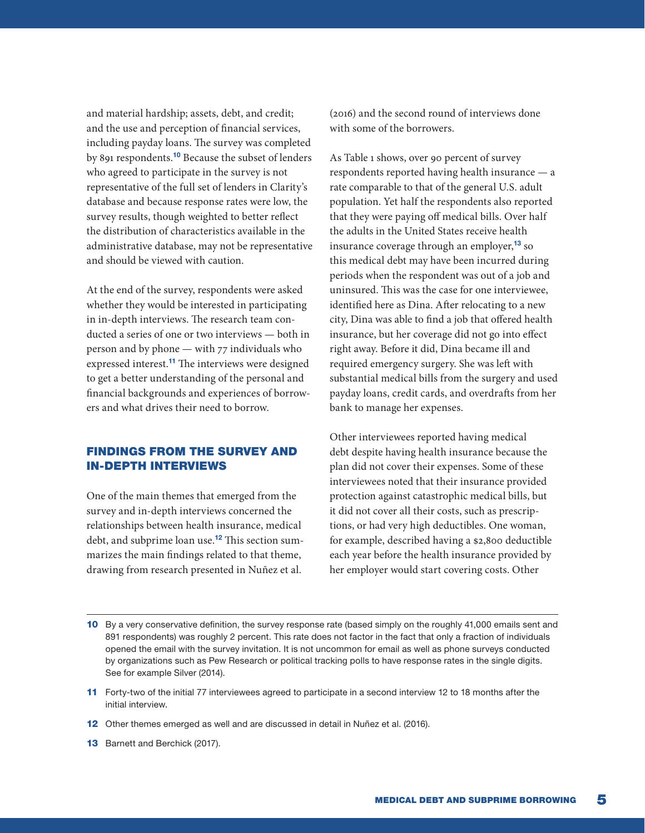and material hardship; assets, debt, and credit; and the use and perception of financial services, including payday loans. The survey was completed by 891 respondents.<sup>10</sup> Because the subset of lenders who agreed to participate in the survey is not representative of the full set of lenders in Clarity's database and because response rates were low, the survey results, though weighted to better reflect the distribution of characteristics available in the administrative database, may not be representative and should be viewed with caution.

At the end of the survey, respondents were asked whether they would be interested in participating in in-depth interviews. The research team conducted a series of one or two interviews — both in person and by phone — with 77 individuals who expressed interest.<sup>11</sup> The interviews were designed to get a better understanding of the personal and financial backgrounds and experiences of borrowers and what drives their need to borrow.

# FINDINGS FROM THE SURVEY AND IN-DEPTH INTERVIEWS

One of the main themes that emerged from the survey and in-depth interviews concerned the relationships between health insurance, medical debt, and subprime loan use.<sup>12</sup> This section summarizes the main findings related to that theme, drawing from research presented in Nuñez et al.

(2016) and the second round of interviews done with some of the borrowers.

As Table 1 shows, over 90 percent of survey respondents reported having health insurance — a rate comparable to that of the general U.S. adult population. Yet half the respondents also reported that they were paying off medical bills. Over half the adults in the United States receive health insurance coverage through an employer,<sup>13</sup> so this medical debt may have been incurred during periods when the respondent was out of a job and uninsured. This was the case for one interviewee, identified here as Dina. After relocating to a new city, Dina was able to find a job that offered health insurance, but her coverage did not go into effect right away. Before it did, Dina became ill and required emergency surgery. She was left with substantial medical bills from the surgery and used payday loans, credit cards, and overdrafts from her bank to manage her expenses.

Other interviewees reported having medical debt despite having health insurance because the plan did not cover their expenses. Some of these interviewees noted that their insurance provided protection against catastrophic medical bills, but it did not cover all their costs, such as prescriptions, or had very high deductibles. One woman, for example, described having a \$2,800 deductible each year before the health insurance provided by her employer would start covering costs. Other

- 10 By a very conservative definition, the survey response rate (based simply on the roughly 41,000 emails sent and 891 respondents) was roughly 2 percent. This rate does not factor in the fact that only a fraction of individuals opened the email with the survey invitation. It is not uncommon for email as well as phone surveys conducted by organizations such as Pew Research or political tracking polls to have response rates in the single digits. See for example Silver (2014).
- 11 Forty-two of the initial 77 interviewees agreed to participate in a second interview 12 to 18 months after the initial interview.
- 12 Other themes emerged as well and are discussed in detail in Nuñez et al. (2016).
- 13 Barnett and Berchick (2017).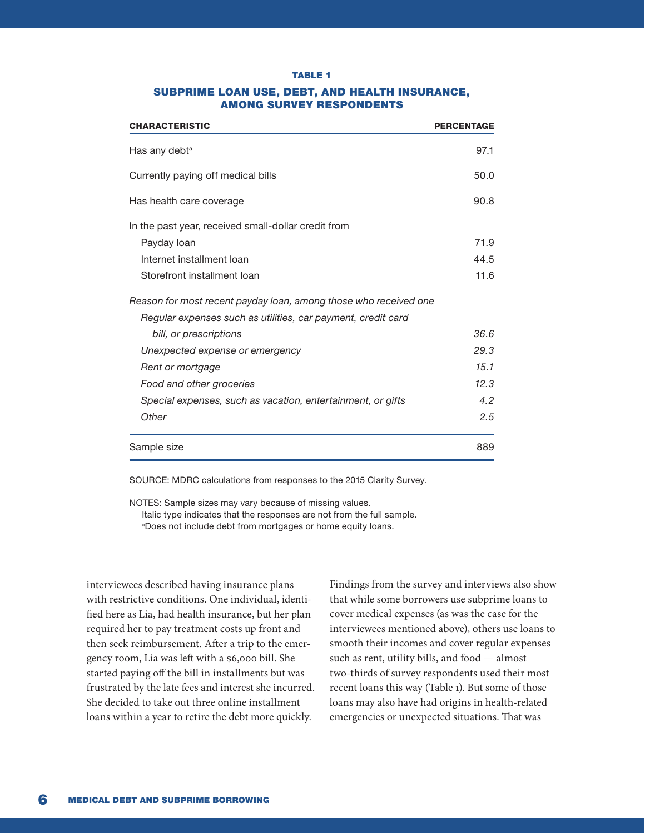#### TABLE 1

| <b>CHARACTERISTIC</b>                                            | <b>PERCENTAGE</b> |
|------------------------------------------------------------------|-------------------|
| Has any debt <sup>a</sup>                                        | 97.1              |
| Currently paying off medical bills                               | 50.0              |
| Has health care coverage                                         | 90.8              |
| In the past year, received small-dollar credit from              |                   |
| Payday loan                                                      | 71.9              |
| Internet installment loan                                        | 44.5              |
| Storefront installment loan                                      | 11.6              |
| Reason for most recent payday loan, among those who received one |                   |
| Regular expenses such as utilities, car payment, credit card     |                   |
| bill, or prescriptions                                           | 36.6              |
| Unexpected expense or emergency                                  | 29.3              |
| Rent or mortgage                                                 | 15.1              |
| Food and other groceries                                         | 12.3              |
| Special expenses, such as vacation, entertainment, or gifts      | 4.2               |
| Other                                                            | 2.5               |
| Sample size                                                      | 889               |

#### SUBPRIME LOAN USE, DEBT, AND HEALTH INSURANCE, AMONG SURVEY RESPONDENTS

SOURCE: MDRC calculations from responses to the 2015 Clarity Survey.

NOTES: Sample sizes may vary because of missing values. Italic type indicates that the responses are not from the full sample. a Does not include debt from mortgages or home equity loans.

interviewees described having insurance plans with restrictive conditions. One individual, identified here as Lia, had health insurance, but her plan required her to pay treatment costs up front and then seek reimbursement. After a trip to the emergency room, Lia was left with a \$6,000 bill. She started paying off the bill in installments but was frustrated by the late fees and interest she incurred. She decided to take out three online installment loans within a year to retire the debt more quickly.

Findings from the survey and interviews also show that while some borrowers use subprime loans to cover medical expenses (as was the case for the interviewees mentioned above), others use loans to smooth their incomes and cover regular expenses such as rent, utility bills, and food — almost two-thirds of survey respondents used their most recent loans this way (Table 1). But some of those loans may also have had origins in health-related emergencies or unexpected situations. That was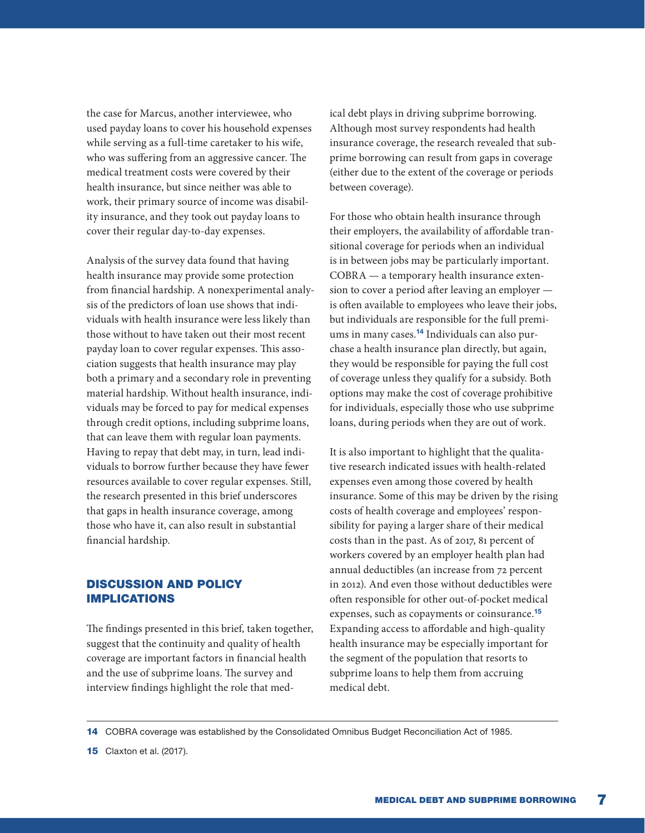the case for Marcus, another interviewee, who used payday loans to cover his household expenses while serving as a full-time caretaker to his wife, who was suffering from an aggressive cancer. The medical treatment costs were covered by their health insurance, but since neither was able to work, their primary source of income was disability insurance, and they took out payday loans to cover their regular day-to-day expenses.

Analysis of the survey data found that having health insurance may provide some protection from financial hardship. A nonexperimental analysis of the predictors of loan use shows that individuals with health insurance were less likely than those without to have taken out their most recent payday loan to cover regular expenses. This association suggests that health insurance may play both a primary and a secondary role in preventing material hardship. Without health insurance, individuals may be forced to pay for medical expenses through credit options, including subprime loans, that can leave them with regular loan payments. Having to repay that debt may, in turn, lead individuals to borrow further because they have fewer resources available to cover regular expenses. Still, the research presented in this brief underscores that gaps in health insurance coverage, among those who have it, can also result in substantial financial hardship.

## DISCUSSION AND POLICY IMPLICATIONS

The findings presented in this brief, taken together, suggest that the continuity and quality of health coverage are important factors in financial health and the use of subprime loans. The survey and interview findings highlight the role that medical debt plays in driving subprime borrowing. Although most survey respondents had health insurance coverage, the research revealed that subprime borrowing can result from gaps in coverage (either due to the extent of the coverage or periods between coverage).

For those who obtain health insurance through their employers, the availability of affordable transitional coverage for periods when an individual is in between jobs may be particularly important. COBRA — a temporary health insurance extension to cover a period after leaving an employer is often available to employees who leave their jobs, but individuals are responsible for the full premiums in many cases.<sup>14</sup> Individuals can also purchase a health insurance plan directly, but again, they would be responsible for paying the full cost of coverage unless they qualify for a subsidy. Both options may make the cost of coverage prohibitive for individuals, especially those who use subprime loans, during periods when they are out of work.

It is also important to highlight that the qualitative research indicated issues with health-related expenses even among those covered by health insurance. Some of this may be driven by the rising costs of health coverage and employees' responsibility for paying a larger share of their medical costs than in the past. As of 2017, 81 percent of workers covered by an employer health plan had annual deductibles (an increase from 72 percent in 2012). And even those without deductibles were often responsible for other out-of-pocket medical expenses, such as copayments or coinsurance.<sup>15</sup> Expanding access to affordable and high-quality health insurance may be especially important for the segment of the population that resorts to subprime loans to help them from accruing medical debt.

14 COBRA coverage was established by the Consolidated Omnibus Budget Reconciliation Act of 1985.

**15** Claxton et al. (2017).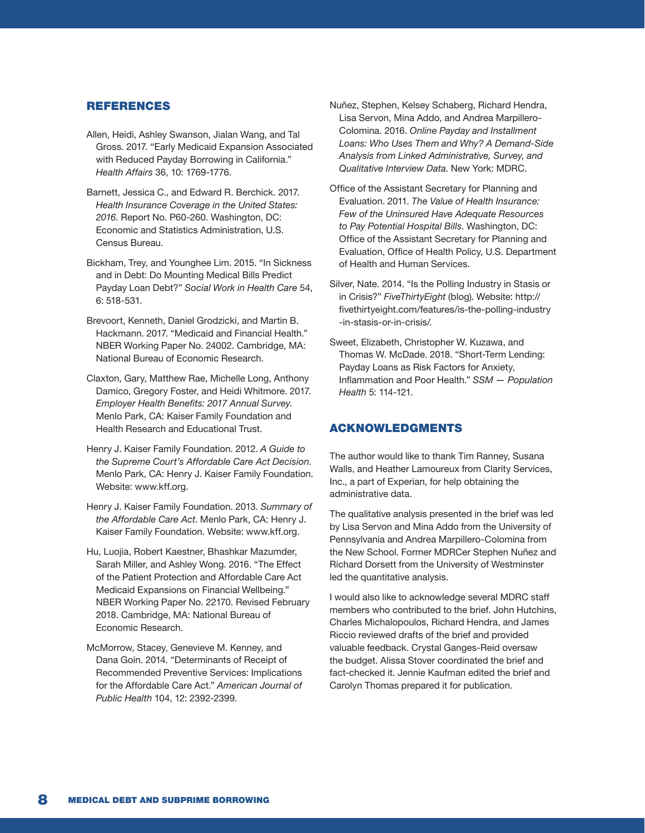#### REFERENCES

- Allen, Heidi, Ashley Swanson, Jialan Wang, and Tal Gross. 2017. "Early Medicaid Expansion Associated with Reduced Payday Borrowing in California." *Health Affairs* 36, 10: 1769-1776.
- Barnett, Jessica C., and Edward R. Berchick. 2017. *Health Insurance Coverage in the United States: 2016*. Report No. P60-260. Washington, DC: Economic and Statistics Administration, U.S. Census Bureau.
- Bickham, Trey, and Younghee Lim. 2015. "In Sickness and in Debt: Do Mounting Medical Bills Predict Payday Loan Debt?" *Social Work in Health Care* 54, 6: 518-531.
- Brevoort, Kenneth, Daniel Grodzicki, and Martin B. Hackmann. 2017. "Medicaid and Financial Health." NBER Working Paper No. 24002. Cambridge, MA: National Bureau of Economic Research.
- Claxton, Gary, Matthew Rae, Michelle Long, Anthony Damico, Gregory Foster, and Heidi Whitmore. 2017. *Employer Health Benefits: 2017 Annual Survey*. Menlo Park, CA: Kaiser Family Foundation and Health Research and Educational Trust.
- Henry J. Kaiser Family Foundation. 2012. *A Guide to the Supreme Court's Affordable Care Act Decision.*  Menlo Park, CA: Henry J. Kaiser Family Foundation. Website: www.kff.org.
- Henry J. Kaiser Family Foundation. 2013. *Summary of the Affordable Care Act*. Menlo Park, CA: Henry J. Kaiser Family Foundation. Website: www.kff.org.
- Hu, Luojia, Robert Kaestner, Bhashkar Mazumder, Sarah Miller, and Ashley Wong. 2016. "The Effect of the Patient Protection and Affordable Care Act Medicaid Expansions on Financial Wellbeing." NBER Working Paper No. 22170. Revised February 2018. Cambridge, MA: National Bureau of Economic Research.
- McMorrow, Stacey, Genevieve M. Kenney, and Dana Goin. 2014. "Determinants of Receipt of Recommended Preventive Services: Implications for the Affordable Care Act." *American Journal of Public Health* 104, 12: 2392-2399.
- Nuñez, Stephen, Kelsey Schaberg, Richard Hendra, Lisa Servon, Mina Addo, and Andrea Marpillero-Colomina. 2016. *Online Payday and Installment Loans: Who Uses Them and Why? A Demand-Side Analysis from Linked Administrative, Survey, and Qualitative Interview Data*. New York: MDRC.
- Office of the Assistant Secretary for Planning and Evaluation. 2011. *The Value of Health Insurance: Few of the Uninsured Have Adequate Resources to Pay Potential Hospital Bills*. Washington, DC: Office of the Assistant Secretary for Planning and Evaluation, Office of Health Policy, U.S. Department of Health and Human Services.
- Silver, Nate. 2014. "Is the Polling Industry in Stasis or in Crisis?" *FiveThirtyEight* (blog). Website: [http://](http://fivethirtyeight.com/features/is-the-polling-industry-in-stasis-or-in-crisis/) [fivethirtyeight.com/features/is-the-polling-industry](http://fivethirtyeight.com/features/is-the-polling-industry-in-stasis-or-in-crisis/) [-in-stasis-or-in-crisis/.](http://fivethirtyeight.com/features/is-the-polling-industry-in-stasis-or-in-crisis/)
- Sweet, Elizabeth, Christopher W. Kuzawa, and Thomas W. McDade. 2018. "Short-Term Lending: Payday Loans as Risk Factors for Anxiety, Inflammation and Poor Health." *SSM — Population Health* 5: 114-121.

#### ACKNOWLEDGMENTS

The author would like to thank Tim Ranney, Susana Walls, and Heather Lamoureux from Clarity Services, Inc., a part of Experian, for help obtaining the administrative data.

The qualitative analysis presented in the brief was led by Lisa Servon and Mina Addo from the University of Pennsylvania and Andrea Marpillero-Colomina from the New School. Former MDRCer Stephen Nuñez and Richard Dorsett from the University of Westminster led the quantitative analysis.

I would also like to acknowledge several MDRC staff members who contributed to the brief. John Hutchins, Charles Michalopoulos, Richard Hendra, and James Riccio reviewed drafts of the brief and provided valuable feedback. Crystal Ganges-Reid oversaw the budget. Alissa Stover coordinated the brief and fact-checked it. Jennie Kaufman edited the brief and Carolyn Thomas prepared it for publication.